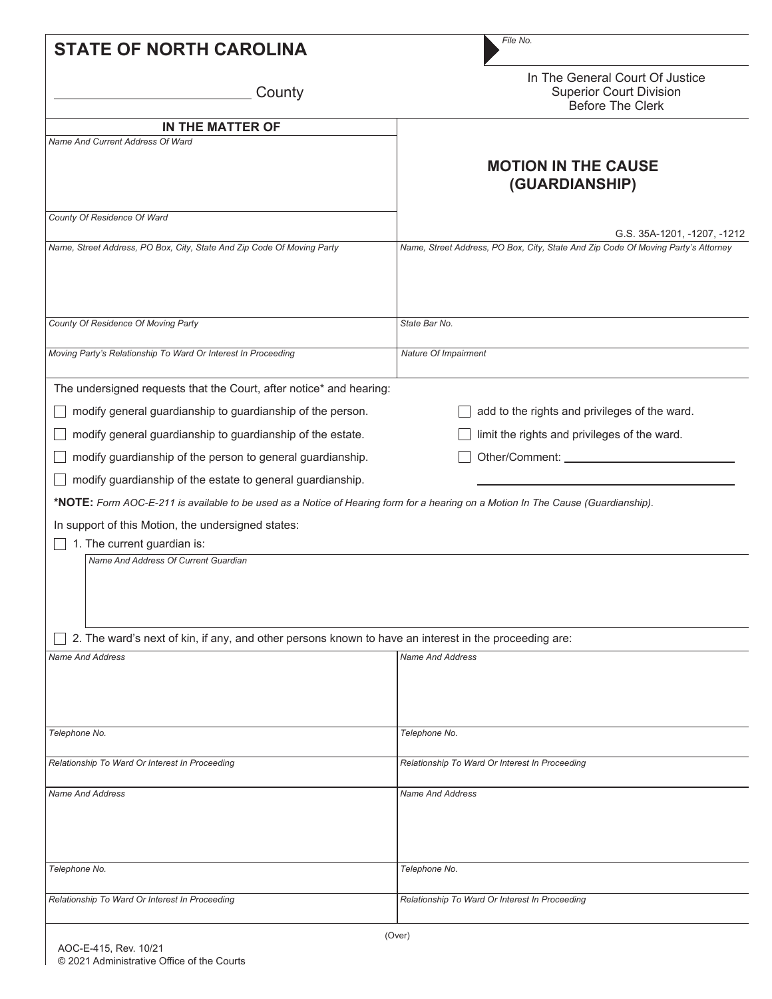| <b>STATE OF NORTH CAROLINA</b>                                                                                                                                                                                                                                                                                                                                                                                                                                                                                                                                                                                                                                                                        | File No.                                                                                                                    |
|-------------------------------------------------------------------------------------------------------------------------------------------------------------------------------------------------------------------------------------------------------------------------------------------------------------------------------------------------------------------------------------------------------------------------------------------------------------------------------------------------------------------------------------------------------------------------------------------------------------------------------------------------------------------------------------------------------|-----------------------------------------------------------------------------------------------------------------------------|
| County                                                                                                                                                                                                                                                                                                                                                                                                                                                                                                                                                                                                                                                                                                | In The General Court Of Justice<br><b>Superior Court Division</b><br>Before The Clerk                                       |
| IN THE MATTER OF                                                                                                                                                                                                                                                                                                                                                                                                                                                                                                                                                                                                                                                                                      |                                                                                                                             |
| Name And Current Address Of Ward                                                                                                                                                                                                                                                                                                                                                                                                                                                                                                                                                                                                                                                                      | <b>MOTION IN THE CAUSE</b><br>(GUARDIANSHIP)                                                                                |
| County Of Residence Of Ward                                                                                                                                                                                                                                                                                                                                                                                                                                                                                                                                                                                                                                                                           | G.S. 35A-1201, -1207, -1212                                                                                                 |
| Name, Street Address, PO Box, City, State And Zip Code Of Moving Party                                                                                                                                                                                                                                                                                                                                                                                                                                                                                                                                                                                                                                | Name, Street Address, PO Box, City, State And Zip Code Of Moving Party's Attorney                                           |
| County Of Residence Of Moving Party                                                                                                                                                                                                                                                                                                                                                                                                                                                                                                                                                                                                                                                                   | State Bar No.                                                                                                               |
| Moving Party's Relationship To Ward Or Interest In Proceeding                                                                                                                                                                                                                                                                                                                                                                                                                                                                                                                                                                                                                                         | Nature Of Impairment                                                                                                        |
| The undersigned requests that the Court, after notice* and hearing:<br>modify general guardianship to guardianship of the person.<br>modify general guardianship to guardianship of the estate.<br>modify guardianship of the person to general guardianship.<br>modify guardianship of the estate to general guardianship.<br>*NOTE: Form AOC-E-211 is available to be used as a Notice of Hearing form for a hearing on a Motion In The Cause (Guardianship).<br>In support of this Motion, the undersigned states:<br>1. The current guardian is:<br>Name And Address Of Current Guardian<br>2. The ward's next of kin, if any, and other persons known to have an interest in the proceeding are: | add to the rights and privileges of the ward.<br>limit the rights and privileges of the ward.<br>Other/Comment: ___________ |
| <b>Name And Address</b>                                                                                                                                                                                                                                                                                                                                                                                                                                                                                                                                                                                                                                                                               | <b>Name And Address</b>                                                                                                     |
| Telephone No.                                                                                                                                                                                                                                                                                                                                                                                                                                                                                                                                                                                                                                                                                         | Telephone No.                                                                                                               |
| Relationship To Ward Or Interest In Proceeding                                                                                                                                                                                                                                                                                                                                                                                                                                                                                                                                                                                                                                                        | Relationship To Ward Or Interest In Proceeding                                                                              |
| <b>Name And Address</b>                                                                                                                                                                                                                                                                                                                                                                                                                                                                                                                                                                                                                                                                               | <b>Name And Address</b>                                                                                                     |
| Telephone No.                                                                                                                                                                                                                                                                                                                                                                                                                                                                                                                                                                                                                                                                                         | Telephone No.                                                                                                               |
| Relationship To Ward Or Interest In Proceeding                                                                                                                                                                                                                                                                                                                                                                                                                                                                                                                                                                                                                                                        | Relationship To Ward Or Interest In Proceeding                                                                              |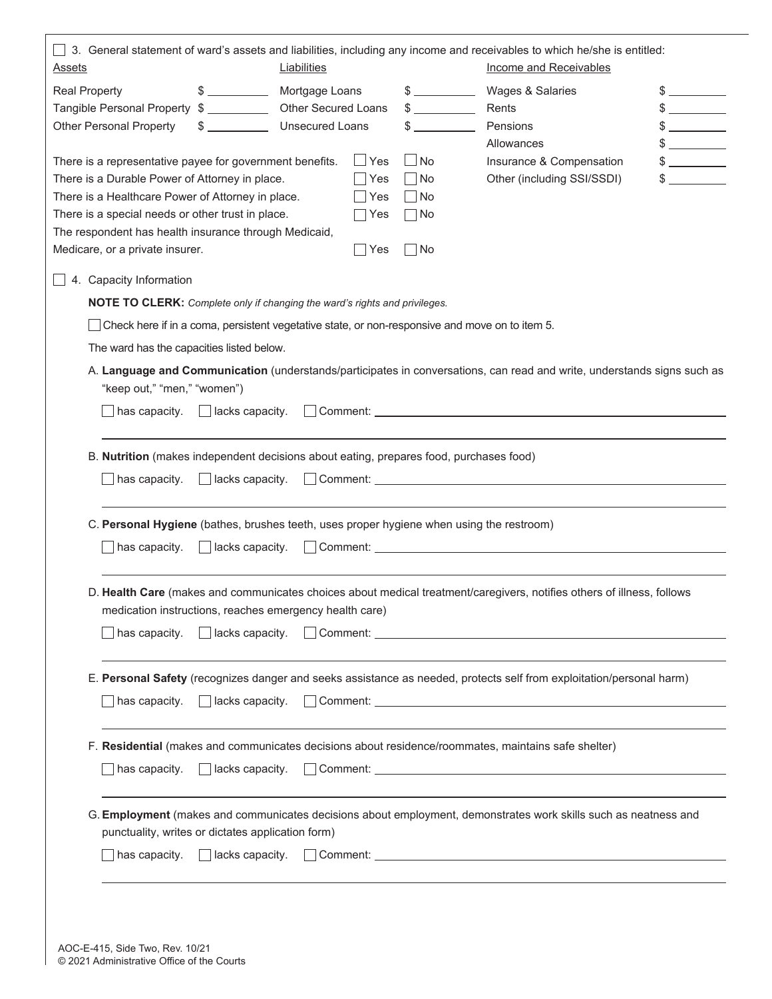|                                                                                                            |                                                                                                                                                                                                                                                                                                  |                        |            |                               | 3. General statement of ward's assets and liabilities, including any income and receivables to which he/she is entitled:                                                                                                       |               |
|------------------------------------------------------------------------------------------------------------|--------------------------------------------------------------------------------------------------------------------------------------------------------------------------------------------------------------------------------------------------------------------------------------------------|------------------------|------------|-------------------------------|--------------------------------------------------------------------------------------------------------------------------------------------------------------------------------------------------------------------------------|---------------|
| <u>Assets</u>                                                                                              |                                                                                                                                                                                                                                                                                                  | Liabilities            |            |                               | <b>Income and Receivables</b>                                                                                                                                                                                                  |               |
| <b>Real Property</b>                                                                                       | $\frac{1}{2}$                                                                                                                                                                                                                                                                                    | Mortgage Loans         |            | $\frac{1}{2}$                 | Wages & Salaries                                                                                                                                                                                                               | $\frac{1}{2}$ |
| Tangible Personal Property \$                                                                              |                                                                                                                                                                                                                                                                                                  | Other Secured Loans    |            | $$\overbrace{\hspace{2.5cm}}$ | Rents                                                                                                                                                                                                                          |               |
| <b>Other Personal Property</b>                                                                             | $\mathbb{S}$ and $\mathbb{S}$ and $\mathbb{S}$ and $\mathbb{S}$ and $\mathbb{S}$ and $\mathbb{S}$ and $\mathbb{S}$ and $\mathbb{S}$ and $\mathbb{S}$ and $\mathbb{S}$ and $\mathbb{S}$ and $\mathbb{S}$ and $\mathbb{S}$ and $\mathbb{S}$ and $\mathbb{S}$ and $\mathbb{S}$ and $\mathbb{S}$ and | <b>Unsecured Loans</b> |            | $s \sim$                      | Pensions                                                                                                                                                                                                                       |               |
|                                                                                                            |                                                                                                                                                                                                                                                                                                  |                        | l Yes      | _  No                         | Allowances                                                                                                                                                                                                                     | \$            |
| There is a representative payee for government benefits.<br>There is a Durable Power of Attorney in place. |                                                                                                                                                                                                                                                                                                  |                        | Yes        | $ $ No                        | Insurance & Compensation<br>Other (including SSI/SSDI)                                                                                                                                                                         | $\frac{1}{2}$ |
| There is a Healthcare Power of Attorney in place.                                                          |                                                                                                                                                                                                                                                                                                  |                        | Yes        | $ $ No                        |                                                                                                                                                                                                                                |               |
| There is a special needs or other trust in place.                                                          |                                                                                                                                                                                                                                                                                                  |                        | $\Box$ Yes | □ No                          |                                                                                                                                                                                                                                |               |
| The respondent has health insurance through Medicaid,                                                      |                                                                                                                                                                                                                                                                                                  |                        |            |                               |                                                                                                                                                                                                                                |               |
| Medicare, or a private insurer.                                                                            |                                                                                                                                                                                                                                                                                                  |                        | Yes        | $ $ No                        |                                                                                                                                                                                                                                |               |
| 4. Capacity Information                                                                                    |                                                                                                                                                                                                                                                                                                  |                        |            |                               |                                                                                                                                                                                                                                |               |
| <b>NOTE TO CLERK:</b> Complete only if changing the ward's rights and privileges.                          |                                                                                                                                                                                                                                                                                                  |                        |            |                               |                                                                                                                                                                                                                                |               |
|                                                                                                            |                                                                                                                                                                                                                                                                                                  |                        |            |                               | Check here if in a coma, persistent vegetative state, or non-responsive and move on to item 5.                                                                                                                                 |               |
| The ward has the capacities listed below.                                                                  |                                                                                                                                                                                                                                                                                                  |                        |            |                               |                                                                                                                                                                                                                                |               |
|                                                                                                            |                                                                                                                                                                                                                                                                                                  |                        |            |                               | A. Language and Communication (understands/participates in conversations, can read and write, understands signs such as                                                                                                        |               |
| "keep out," "men," "women")                                                                                |                                                                                                                                                                                                                                                                                                  |                        |            |                               |                                                                                                                                                                                                                                |               |
|                                                                                                            |                                                                                                                                                                                                                                                                                                  |                        |            |                               |                                                                                                                                                                                                                                |               |
| B. Nutrition (makes independent decisions about eating, prepares food, purchases food)                     |                                                                                                                                                                                                                                                                                                  |                        |            |                               |                                                                                                                                                                                                                                |               |
| has capacity.                                                                                              | $\vert$ $\vert$ lacks capacity.                                                                                                                                                                                                                                                                  |                        |            |                               | Comment: Comment 2008                                                                                                                                                                                                          |               |
| C. Personal Hygiene (bathes, brushes teeth, uses proper hygiene when using the restroom)                   |                                                                                                                                                                                                                                                                                                  |                        |            |                               |                                                                                                                                                                                                                                |               |
| $\vert$ has capacity.                                                                                      | $\Box$ lacks capacity.                                                                                                                                                                                                                                                                           |                        |            |                               | Comment: Comment: Comment Comment Comment Comment Comment Comment Comment Comment Comment Comment Comment Comment Comment Comment Comment Comment Comment Comment Comment Comment Comment Comment Comment Comment Comment Comm |               |
|                                                                                                            |                                                                                                                                                                                                                                                                                                  |                        |            |                               | D. Health Care (makes and communicates choices about medical treatment/caregivers, notifies others of illness, follows                                                                                                         |               |
| medication instructions, reaches emergency health care)                                                    |                                                                                                                                                                                                                                                                                                  |                        |            |                               |                                                                                                                                                                                                                                |               |
| $\Box$ has capacity.                                                                                       | $\Box$ lacks capacity.                                                                                                                                                                                                                                                                           |                        |            |                               | Comment: Commercial Comment Comment Commercial Comment Commercial Commercial Commercial Commercial Commercial Commercial Commercial Commercial Commercial Commercial Commercial Commercial Commercial Commercial Commercial Co |               |
|                                                                                                            |                                                                                                                                                                                                                                                                                                  |                        |            |                               | E. Personal Safety (recognizes danger and seeks assistance as needed, protects self from exploitation/personal harm)                                                                                                           |               |
| has capacity.                                                                                              | lacks capacity.                                                                                                                                                                                                                                                                                  |                        |            |                               |                                                                                                                                                                                                                                |               |
|                                                                                                            |                                                                                                                                                                                                                                                                                                  |                        |            |                               | F. Residential (makes and communicates decisions about residence/roommates, maintains safe shelter)                                                                                                                            |               |
| $\blacksquare$ has capacity.                                                                               | $\Box$ lacks capacity.                                                                                                                                                                                                                                                                           |                        |            |                               | Comment: Commercial Comment Comment Commercial Comment Comment Commercial Commercial Commercial Commercial Commercial Commercial Commercial Commercial Commercial Commercial Commercial Commercial Commercial Commercial Comme |               |
|                                                                                                            |                                                                                                                                                                                                                                                                                                  |                        |            |                               | G. Employment (makes and communicates decisions about employment, demonstrates work skills such as neatness and                                                                                                                |               |
| punctuality, writes or dictates application form)                                                          |                                                                                                                                                                                                                                                                                                  |                        |            |                               |                                                                                                                                                                                                                                |               |
| has capacity.                                                                                              | $\Box$ lacks capacity.                                                                                                                                                                                                                                                                           |                        |            |                               |                                                                                                                                                                                                                                |               |
|                                                                                                            |                                                                                                                                                                                                                                                                                                  |                        |            |                               |                                                                                                                                                                                                                                |               |